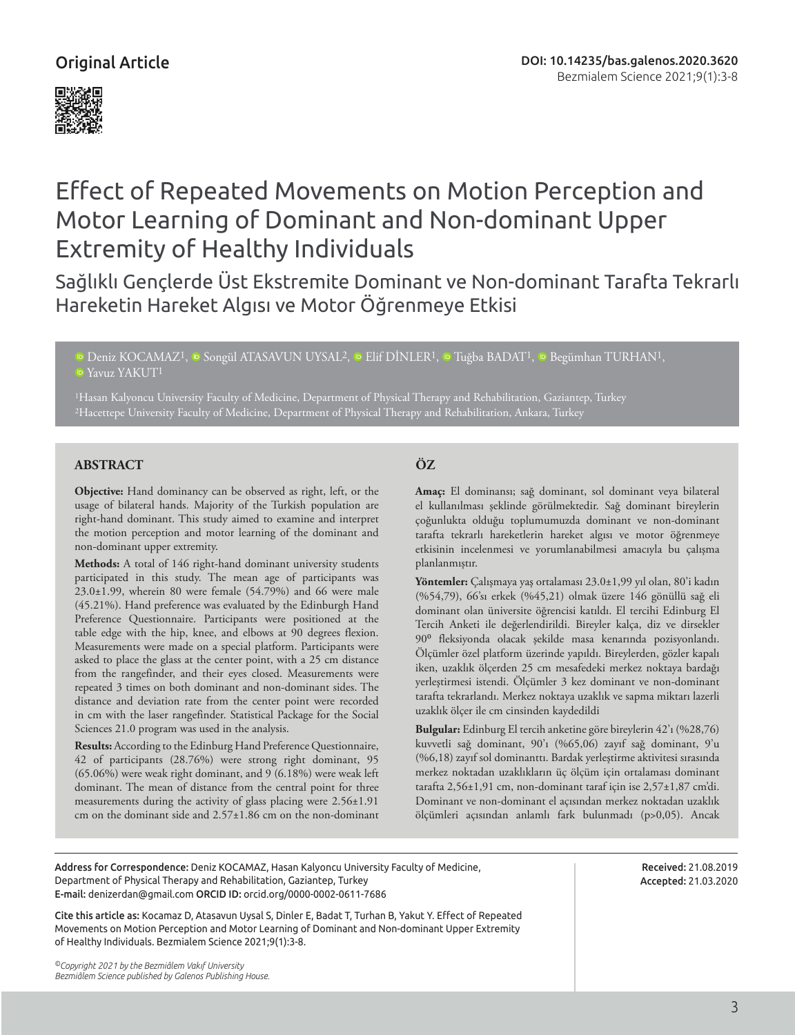## Original Article





# Effect of Repeated Movements on Motion Perception and Motor Learning of Dominant and Non-dominant Upper Extremity of Healthy Individuals

Sağlıklı Gençlerde Üst Ekstremite Dominant ve Non-dominant Tarafta Tekrarlı Hareketin Hareket Algısı ve Motor Öğrenmeye Etkisi

<sup>ID</sup>Deniz KOCAMAZ<sup>1</sup>, <sup>ID</sup> Songül ATASAVUN UYSAL<sup>2</sup>, <sup>ID</sup> Elif DİNLER<sup>1</sup>, <sup>ID</sup> Tuğba BADAT<sup>1</sup>, <sup>ID</sup> Begümhan TURHAN<sup>1</sup>, **D**Yavuz YAKUT<sup>1</sup>

1Hasan Kalyoncu University Faculty of Medicine, Department of Physical Therapy and Rehabilitation, Gaziantep, Turkey 2Hacettepe University Faculty of Medicine, Department of Physical Therapy and Rehabilitation, Ankara, Turkey

#### **ABSTRACT ÖZ**

**Objective:** Hand dominancy can be observed as right, left, or the usage of bilateral hands. Majority of the Turkish population are right-hand dominant. This study aimed to examine and interpret the motion perception and motor learning of the dominant and non-dominant upper extremity.

**Methods:** A total of 146 right-hand dominant university students participated in this study. The mean age of participants was 23.0±1.99, wherein 80 were female (54.79%) and 66 were male (45.21%). Hand preference was evaluated by the Edinburgh Hand Preference Questionnaire. Participants were positioned at the table edge with the hip, knee, and elbows at 90 degrees flexion. Measurements were made on a special platform. Participants were asked to place the glass at the center point, with a 25 cm distance from the rangefinder, and their eyes closed. Measurements were repeated 3 times on both dominant and non-dominant sides. The distance and deviation rate from the center point were recorded in cm with the laser rangefinder. Statistical Package for the Social Sciences 21.0 program was used in the analysis.

**Results:** According to the Edinburg Hand Preference Questionnaire, 42 of participants (28.76%) were strong right dominant, 95 (65.06%) were weak right dominant, and 9 (6.18%) were weak left dominant. The mean of distance from the central point for three measurements during the activity of glass placing were 2.56±1.91 cm on the dominant side and 2.57±1.86 cm on the non-dominant

**Amaç:** El dominansı; sağ dominant, sol dominant veya bilateral el kullanılması şeklinde görülmektedir. Sağ dominant bireylerin çoğunlukta olduğu toplumumuzda dominant ve non-dominant tarafta tekrarlı hareketlerin hareket algısı ve motor öğrenmeye etkisinin incelenmesi ve yorumlanabilmesi amacıyla bu çalışma planlanmıştır.

**Yöntemler:** Çalışmaya yaş ortalaması 23.0±1,99 yıl olan, 80'i kadın (%54,79), 66'sı erkek (%45,21) olmak üzere 146 gönüllü sağ eli dominant olan üniversite öğrencisi katıldı. El tercihi Edinburg El Tercih Anketi ile değerlendirildi. Bireyler kalça, diz ve dirsekler 90⁰ fleksiyonda olacak şekilde masa kenarında pozisyonlandı. Ölçümler özel platform üzerinde yapıldı. Bireylerden, gözler kapalı iken, uzaklık ölçerden 25 cm mesafedeki merkez noktaya bardağı yerleştirmesi istendi. Ölçümler 3 kez dominant ve non-dominant tarafta tekrarlandı. Merkez noktaya uzaklık ve sapma miktarı lazerli uzaklık ölçer ile cm cinsinden kaydedildi

**Bulgular:** Edinburg El tercih anketine göre bireylerin 42'ı (%28,76) kuvvetli sağ dominant, 90'ı (%65,06) zayıf sağ dominant, 9'u (%6,18) zayıf sol dominanttı. Bardak yerleştirme aktivitesi sırasında merkez noktadan uzaklıkların üç ölçüm için ortalaması dominant tarafta 2,56±1,91 cm, non-dominant taraf için ise 2,57±1,87 cm'di. Dominant ve non-dominant el açısından merkez noktadan uzaklık ölçümleri açısından anlamlı fark bulunmadı (p>0,05). Ancak

Address for Correspondence: Deniz KOCAMAZ, Hasan Kalyoncu University Faculty of Medicine, Department of Physical Therapy and Rehabilitation, Gaziantep, Turkey E-mail: denizerdan@gmail.com ORCID ID: orcid.org/0000-0002-0611-7686

Received: 21.08.2019 Accepted: 21.03.2020

Cite this article as: Kocamaz D, Atasavun Uysal S, Dinler E, Badat T, Turhan B, Yakut Y. Effect of Repeated Movements on Motion Perception and Motor Learning of Dominant and Non-dominant Upper Extremity of Healthy Individuals. Bezmialem Science 2021;9(1):3-8.

*©Copyright 2021 by the Bezmiâlem Vakıf University Bezmiâlem Science published by Galenos Publishing House.*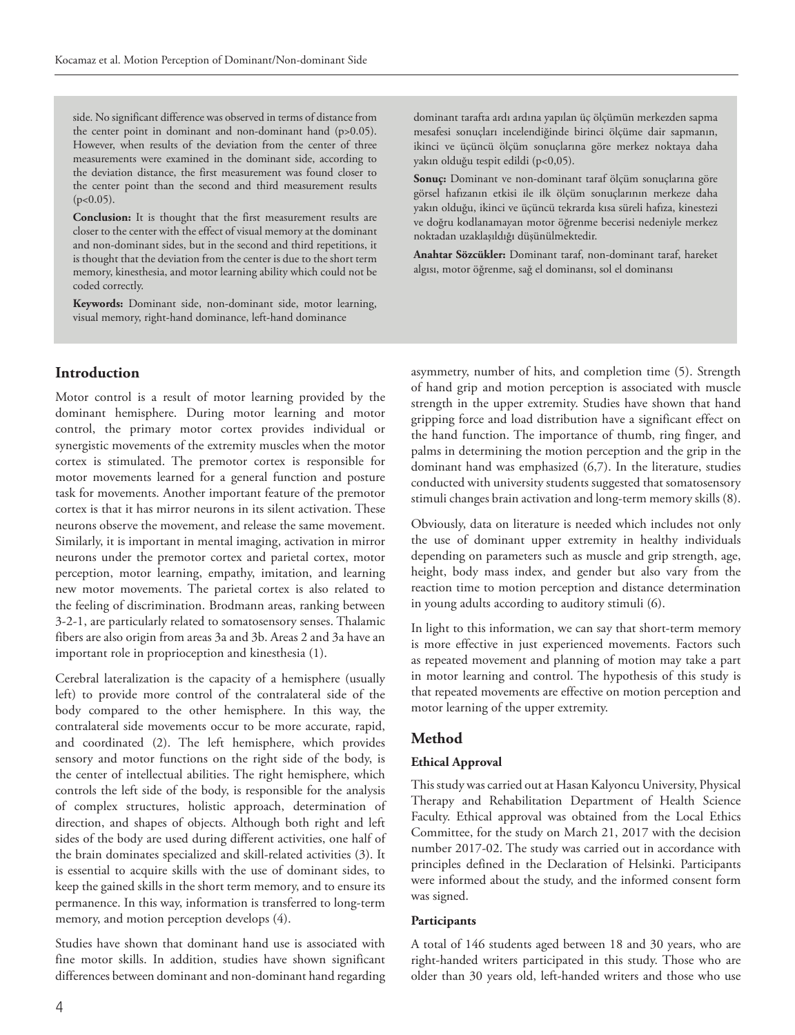side. No significant difference was observed in terms of distance from the center point in dominant and non-dominant hand (p>0.05). However, when results of the deviation from the center of three measurements were examined in the dominant side, according to the deviation distance, the first measurement was found closer to the center point than the second and third measurement results  $(p<0.05)$ .

**Conclusion:** It is thought that the first measurement results are closer to the center with the effect of visual memory at the dominant and non-dominant sides, but in the second and third repetitions, it is thought that the deviation from the center is due to the short term memory, kinesthesia, and motor learning ability which could not be coded correctly.

**Keywords:** Dominant side, non-dominant side, motor learning, visual memory, right-hand dominance, left-hand dominance

dominant tarafta ardı ardına yapılan üç ölçümün merkezden sapma mesafesi sonuçları incelendiğinde birinci ölçüme dair sapmanın, ikinci ve üçüncü ölçüm sonuçlarına göre merkez noktaya daha yakın olduğu tespit edildi (p<0,05).

**Sonuç:** Dominant ve non-dominant taraf ölçüm sonuçlarına göre görsel hafızanın etkisi ile ilk ölçüm sonuçlarının merkeze daha yakın olduğu, ikinci ve üçüncü tekrarda kısa süreli hafıza, kinestezi ve doğru kodlanamayan motor öğrenme becerisi nedeniyle merkez noktadan uzaklaşıldığı düşünülmektedir.

**Anahtar Sözcükler:** Dominant taraf, non-dominant taraf, hareket algısı, motor öğrenme, sağ el dominansı, sol el dominansı

### **Introduction**

Motor control is a result of motor learning provided by the dominant hemisphere. During motor learning and motor control, the primary motor cortex provides individual or synergistic movements of the extremity muscles when the motor cortex is stimulated. The premotor cortex is responsible for motor movements learned for a general function and posture task for movements. Another important feature of the premotor cortex is that it has mirror neurons in its silent activation. These neurons observe the movement, and release the same movement. Similarly, it is important in mental imaging, activation in mirror neurons under the premotor cortex and parietal cortex, motor perception, motor learning, empathy, imitation, and learning new motor movements. The parietal cortex is also related to the feeling of discrimination. Brodmann areas, ranking between 3-2-1, are particularly related to somatosensory senses. Thalamic fibers are also origin from areas 3a and 3b. Areas 2 and 3a have an important role in proprioception and kinesthesia (1).

Cerebral lateralization is the capacity of a hemisphere (usually left) to provide more control of the contralateral side of the body compared to the other hemisphere. In this way, the contralateral side movements occur to be more accurate, rapid, and coordinated (2). The left hemisphere, which provides sensory and motor functions on the right side of the body, is the center of intellectual abilities. The right hemisphere, which controls the left side of the body, is responsible for the analysis of complex structures, holistic approach, determination of direction, and shapes of objects. Although both right and left sides of the body are used during different activities, one half of the brain dominates specialized and skill-related activities (3). It is essential to acquire skills with the use of dominant sides, to keep the gained skills in the short term memory, and to ensure its permanence. In this way, information is transferred to long-term memory, and motion perception develops (4).

Studies have shown that dominant hand use is associated with fine motor skills. In addition, studies have shown significant differences between dominant and non-dominant hand regarding asymmetry, number of hits, and completion time (5). Strength of hand grip and motion perception is associated with muscle strength in the upper extremity. Studies have shown that hand gripping force and load distribution have a significant effect on the hand function. The importance of thumb, ring finger, and palms in determining the motion perception and the grip in the dominant hand was emphasized (6,7). In the literature, studies conducted with university students suggested that somatosensory stimuli changes brain activation and long-term memory skills (8).

Obviously, data on literature is needed which includes not only the use of dominant upper extremity in healthy individuals depending on parameters such as muscle and grip strength, age, height, body mass index, and gender but also vary from the reaction time to motion perception and distance determination in young adults according to auditory stimuli (6).

In light to this information, we can say that short-term memory is more effective in just experienced movements. Factors such as repeated movement and planning of motion may take a part in motor learning and control. The hypothesis of this study is that repeated movements are effective on motion perception and motor learning of the upper extremity.

#### **Method**

#### **Ethical Approval**

This study was carried out at Hasan Kalyoncu University, Physical Therapy and Rehabilitation Department of Health Science Faculty. Ethical approval was obtained from the Local Ethics Committee, for the study on March 21, 2017 with the decision number 2017-02. The study was carried out in accordance with principles defined in the Declaration of Helsinki. Participants were informed about the study, and the informed consent form was signed.

#### **Participants**

A total of 146 students aged between 18 and 30 years, who are right-handed writers participated in this study. Those who are older than 30 years old, left-handed writers and those who use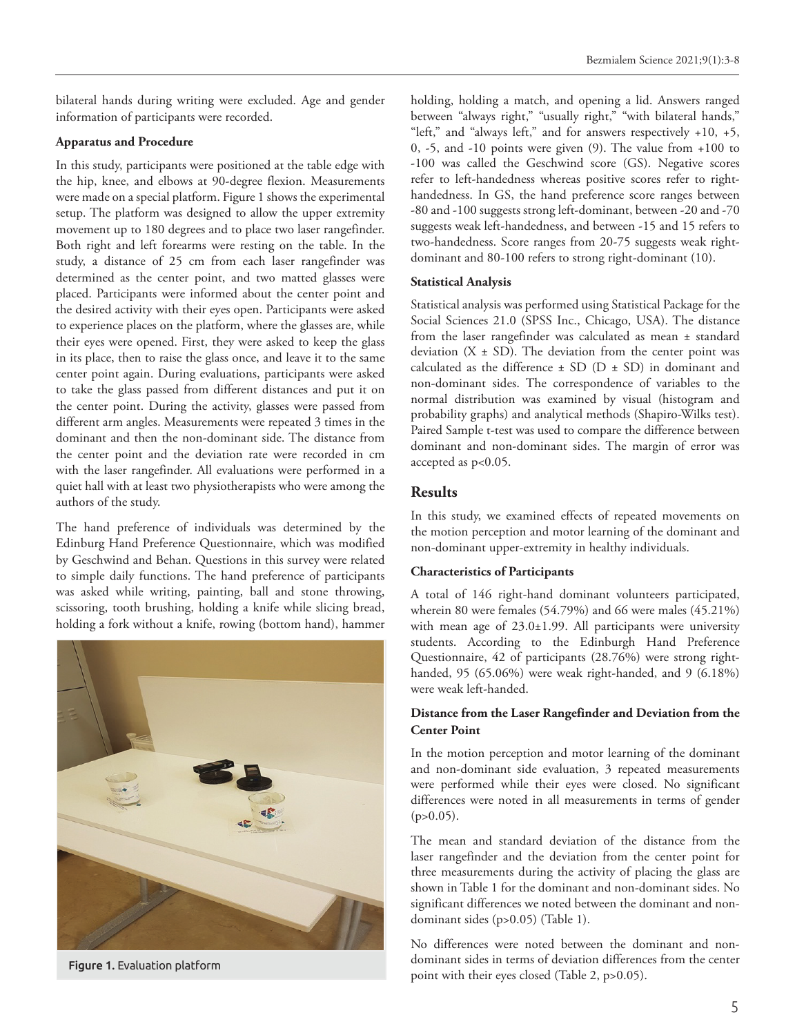bilateral hands during writing were excluded. Age and gender information of participants were recorded.

#### **Apparatus and Procedure**

In this study, participants were positioned at the table edge with the hip, knee, and elbows at 90-degree flexion. Measurements were made on a special platform. Figure 1 shows the experimental setup. The platform was designed to allow the upper extremity movement up to 180 degrees and to place two laser rangefinder. Both right and left forearms were resting on the table. In the study, a distance of 25 cm from each laser rangefinder was determined as the center point, and two matted glasses were placed. Participants were informed about the center point and the desired activity with their eyes open. Participants were asked to experience places on the platform, where the glasses are, while their eyes were opened. First, they were asked to keep the glass in its place, then to raise the glass once, and leave it to the same center point again. During evaluations, participants were asked to take the glass passed from different distances and put it on the center point. During the activity, glasses were passed from different arm angles. Measurements were repeated 3 times in the dominant and then the non-dominant side. The distance from the center point and the deviation rate were recorded in cm with the laser rangefinder. All evaluations were performed in a quiet hall with at least two physiotherapists who were among the authors of the study.

The hand preference of individuals was determined by the Edinburg Hand Preference Questionnaire, which was modified by Geschwind and Behan. Questions in this survey were related to simple daily functions. The hand preference of participants was asked while writing, painting, ball and stone throwing, scissoring, tooth brushing, holding a knife while slicing bread, holding a fork without a knife, rowing (bottom hand), hammer



holding, holding a match, and opening a lid. Answers ranged between "always right," "usually right," "with bilateral hands," "left," and "always left," and for answers respectively +10, +5, 0, -5, and -10 points were given (9). The value from +100 to -100 was called the Geschwind score (GS). Negative scores refer to left-handedness whereas positive scores refer to righthandedness. In GS, the hand preference score ranges between -80 and -100 suggests strong left-dominant, between -20 and -70 suggests weak left-handedness, and between -15 and 15 refers to two-handedness. Score ranges from 20-75 suggests weak rightdominant and 80-100 refers to strong right-dominant (10).

#### **Statistical Analysis**

Statistical analysis was performed using Statistical Package for the Social Sciences 21.0 (SPSS Inc., Chicago, USA). The distance from the laser rangefinder was calculated as mean ± standard deviation  $(X \pm SD)$ . The deviation from the center point was calculated as the difference  $\pm$  SD (D  $\pm$  SD) in dominant and non-dominant sides. The correspondence of variables to the normal distribution was examined by visual (histogram and probability graphs) and analytical methods (Shapiro-Wilks test). Paired Sample t-test was used to compare the difference between dominant and non-dominant sides. The margin of error was accepted as p<0.05.

#### **Results**

In this study, we examined effects of repeated movements on the motion perception and motor learning of the dominant and non-dominant upper-extremity in healthy individuals.

#### **Characteristics of Participants**

A total of 146 right-hand dominant volunteers participated, wherein 80 were females (54.79%) and 66 were males (45.21%) with mean age of 23.0±1.99. All participants were university students. According to the Edinburgh Hand Preference Questionnaire, 42 of participants (28.76%) were strong righthanded, 95 (65.06%) were weak right-handed, and 9 (6.18%) were weak left-handed.

#### **Distance from the Laser Rangefinder and Deviation from the Center Point**

In the motion perception and motor learning of the dominant and non-dominant side evaluation, 3 repeated measurements were performed while their eyes were closed. No significant differences were noted in all measurements in terms of gender  $(p>0.05)$ .

The mean and standard deviation of the distance from the laser rangefinder and the deviation from the center point for three measurements during the activity of placing the glass are shown in Table 1 for the dominant and non-dominant sides. No significant differences we noted between the dominant and nondominant sides (p>0.05) (Table 1).

No differences were noted between the dominant and nondominant sides in terms of deviation differences from the center **Figure 1.** Evaluation platform<br>point with their eyes closed (Table 2, p>0.05).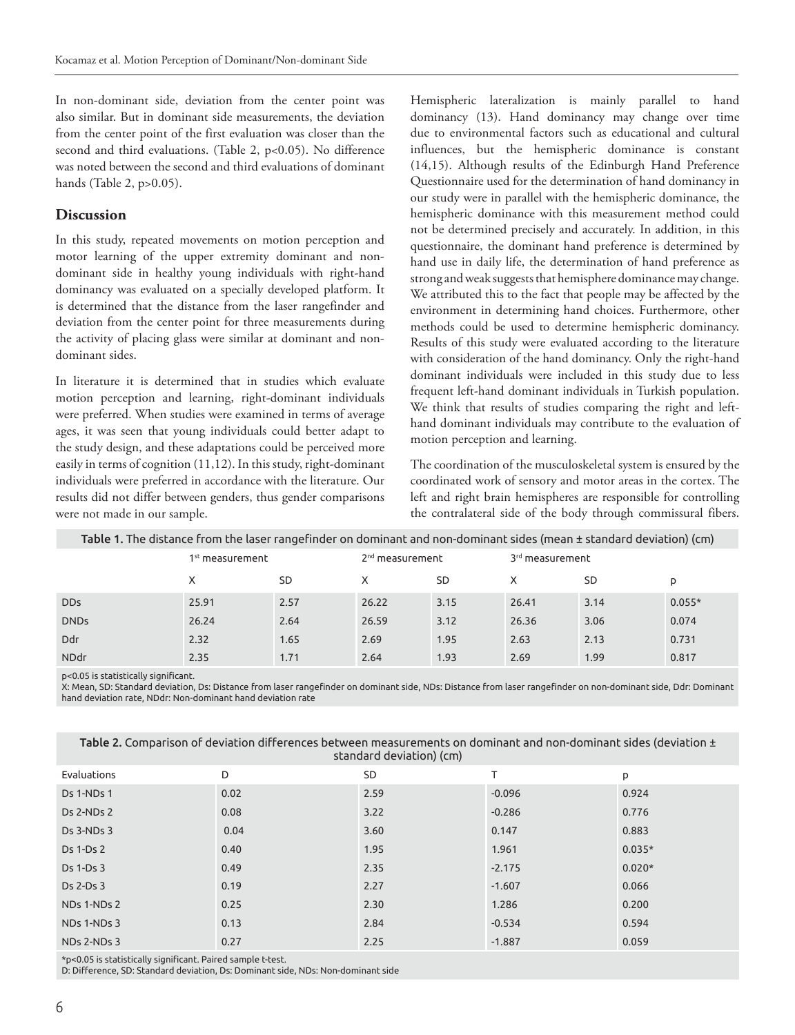In non-dominant side, deviation from the center point was also similar. But in dominant side measurements, the deviation from the center point of the first evaluation was closer than the second and third evaluations. (Table 2, p<0.05). No difference was noted between the second and third evaluations of dominant hands (Table 2, p>0.05).

#### **Discussion**

In this study, repeated movements on motion perception and motor learning of the upper extremity dominant and nondominant side in healthy young individuals with right-hand dominancy was evaluated on a specially developed platform. It is determined that the distance from the laser rangefinder and deviation from the center point for three measurements during the activity of placing glass were similar at dominant and nondominant sides.

In literature it is determined that in studies which evaluate motion perception and learning, right-dominant individuals were preferred. When studies were examined in terms of average ages, it was seen that young individuals could better adapt to the study design, and these adaptations could be perceived more easily in terms of cognition (11,12). In this study, right-dominant individuals were preferred in accordance with the literature. Our results did not differ between genders, thus gender comparisons were not made in our sample.

Hemispheric lateralization is mainly parallel to hand dominancy (13). Hand dominancy may change over time due to environmental factors such as educational and cultural influences, but the hemispheric dominance is constant (14,15). Although results of the Edinburgh Hand Preference Questionnaire used for the determination of hand dominancy in our study were in parallel with the hemispheric dominance, the hemispheric dominance with this measurement method could not be determined precisely and accurately. In addition, in this questionnaire, the dominant hand preference is determined by hand use in daily life, the determination of hand preference as strong and weak suggests that hemisphere dominance may change. We attributed this to the fact that people may be affected by the environment in determining hand choices. Furthermore, other methods could be used to determine hemispheric dominancy. Results of this study were evaluated according to the literature with consideration of the hand dominancy. Only the right-hand dominant individuals were included in this study due to less frequent left-hand dominant individuals in Turkish population. We think that results of studies comparing the right and lefthand dominant individuals may contribute to the evaluation of motion perception and learning.

The coordination of the musculoskeletal system is ensured by the coordinated work of sensory and motor areas in the cortex. The left and right brain hemispheres are responsible for controlling the contralateral side of the body through commissural fibers.

| Table 1. The distance from the laser rangefinder on dominant and non-dominant sides (mean ± standard deviation) (cm) |                             |           |                             |      |                             |           |          |  |  |  |
|----------------------------------------------------------------------------------------------------------------------|-----------------------------|-----------|-----------------------------|------|-----------------------------|-----------|----------|--|--|--|
|                                                                                                                      | 1 <sup>st</sup> measurement |           | 2 <sup>nd</sup> measurement |      | 3 <sup>rd</sup> measurement |           |          |  |  |  |
|                                                                                                                      | X                           | <b>SD</b> |                             | SD   | x                           | <b>SD</b> | p        |  |  |  |
| <b>DDs</b>                                                                                                           | 25.91                       | 2.57      | 26.22                       | 3.15 | 26.41                       | 3.14      | $0.055*$ |  |  |  |
| <b>DNDs</b>                                                                                                          | 26.24                       | 2.64      | 26.59                       | 3.12 | 26.36                       | 3.06      | 0.074    |  |  |  |
| <b>Ddr</b>                                                                                                           | 2.32                        | 1.65      | 2.69                        | 1.95 | 2.63                        | 2.13      | 0.731    |  |  |  |
| <b>NDdr</b>                                                                                                          | 2.35                        | 1.71      | 2.64                        | 1.93 | 2.69                        | 1.99      | 0.817    |  |  |  |

p<0.05 is statistically significant.

X: Mean, SD: Standard deviation, Ds: Distance from laser rangefinder on dominant side, NDs: Distance from laser rangefinder on non-dominant side, Ddr: Dominant hand deviation rate, NDdr: Non-dominant hand deviation rate

| standard deviation) (CM) |      |           |          |          |  |  |  |  |
|--------------------------|------|-----------|----------|----------|--|--|--|--|
| Evaluations              | D    | <b>SD</b> | т        | p        |  |  |  |  |
| Ds 1-NDs 1               | 0.02 | 2.59      | $-0.096$ | 0.924    |  |  |  |  |
| Ds 2-NDs 2               | 0.08 | 3.22      | $-0.286$ | 0.776    |  |  |  |  |
| Ds 3-NDs 3               | 0.04 | 3.60      | 0.147    | 0.883    |  |  |  |  |
| Ds 1-Ds 2                | 0.40 | 1.95      | 1.961    | $0.035*$ |  |  |  |  |
| Ds 1-Ds 3                | 0.49 | 2.35      | $-2.175$ | $0.020*$ |  |  |  |  |
| Ds 2-Ds 3                | 0.19 | 2.27      | $-1.607$ | 0.066    |  |  |  |  |
| NDs 1-NDs 2              | 0.25 | 2.30      | 1.286    | 0.200    |  |  |  |  |
| NDs 1-NDs 3              | 0.13 | 2.84      | $-0.534$ | 0.594    |  |  |  |  |
| NDs 2-NDs 3              | 0.27 | 2.25      | $-1.887$ | 0.059    |  |  |  |  |
|                          |      |           |          |          |  |  |  |  |

Table 2. Comparison of deviation differences between measurements on dominant and non-dominant sides (deviation ± standard deviation) (

\*p<0.05 is statistically significant. Paired sample t-test.

D: Difference, SD: Standard deviation, Ds: Dominant side, NDs: Non-dominant side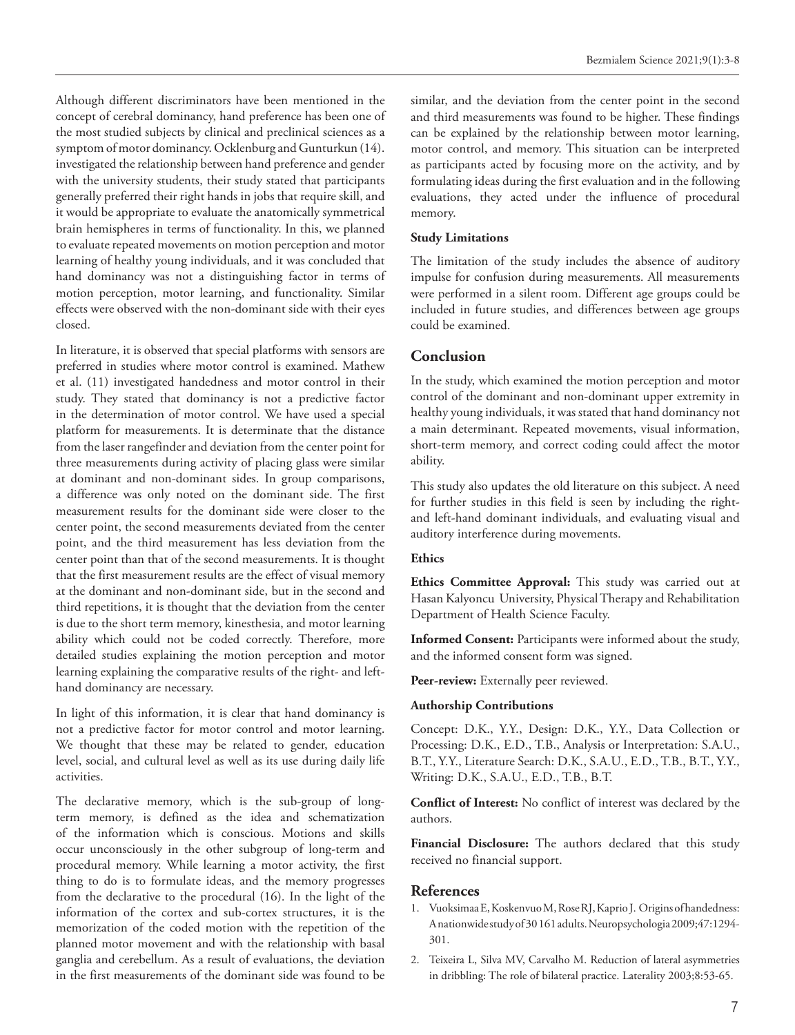Although different discriminators have been mentioned in the concept of cerebral dominancy, hand preference has been one of the most studied subjects by clinical and preclinical sciences as a symptom of motor dominancy. Ocklenburg and Gunturkun (14). investigated the relationship between hand preference and gender with the university students, their study stated that participants generally preferred their right hands in jobs that require skill, and it would be appropriate to evaluate the anatomically symmetrical brain hemispheres in terms of functionality. In this, we planned to evaluate repeated movements on motion perception and motor learning of healthy young individuals, and it was concluded that hand dominancy was not a distinguishing factor in terms of motion perception, motor learning, and functionality. Similar effects were observed with the non-dominant side with their eyes closed.

In literature, it is observed that special platforms with sensors are preferred in studies where motor control is examined. Mathew et al. (11) investigated handedness and motor control in their study. They stated that dominancy is not a predictive factor in the determination of motor control. We have used a special platform for measurements. It is determinate that the distance from the laser rangefinder and deviation from the center point for three measurements during activity of placing glass were similar at dominant and non-dominant sides. In group comparisons, a difference was only noted on the dominant side. The first measurement results for the dominant side were closer to the center point, the second measurements deviated from the center point, and the third measurement has less deviation from the center point than that of the second measurements. It is thought that the first measurement results are the effect of visual memory at the dominant and non-dominant side, but in the second and third repetitions, it is thought that the deviation from the center is due to the short term memory, kinesthesia, and motor learning ability which could not be coded correctly. Therefore, more detailed studies explaining the motion perception and motor learning explaining the comparative results of the right- and lefthand dominancy are necessary.

In light of this information, it is clear that hand dominancy is not a predictive factor for motor control and motor learning. We thought that these may be related to gender, education level, social, and cultural level as well as its use during daily life activities.

The declarative memory, which is the sub-group of longterm memory, is defined as the idea and schematization of the information which is conscious. Motions and skills occur unconsciously in the other subgroup of long-term and procedural memory. While learning a motor activity, the first thing to do is to formulate ideas, and the memory progresses from the declarative to the procedural (16). In the light of the information of the cortex and sub-cortex structures, it is the memorization of the coded motion with the repetition of the planned motor movement and with the relationship with basal ganglia and cerebellum. As a result of evaluations, the deviation in the first measurements of the dominant side was found to be

similar, and the deviation from the center point in the second and third measurements was found to be higher. These findings can be explained by the relationship between motor learning, motor control, and memory. This situation can be interpreted as participants acted by focusing more on the activity, and by formulating ideas during the first evaluation and in the following evaluations, they acted under the influence of procedural memory.

#### **Study Limitations**

The limitation of the study includes the absence of auditory impulse for confusion during measurements. All measurements were performed in a silent room. Different age groups could be included in future studies, and differences between age groups could be examined.

#### **Conclusion**

In the study, which examined the motion perception and motor control of the dominant and non-dominant upper extremity in healthy young individuals, it was stated that hand dominancy not a main determinant. Repeated movements, visual information, short-term memory, and correct coding could affect the motor ability.

This study also updates the old literature on this subject. A need for further studies in this field is seen by including the rightand left-hand dominant individuals, and evaluating visual and auditory interference during movements.

#### **Ethics**

**Ethics Committee Approval:** This study was carried out at Hasan Kalyoncu University, Physical Therapy and Rehabilitation Department of Health Science Faculty.

**Informed Consent:** Participants were informed about the study, and the informed consent form was signed.

Peer-review: Externally peer reviewed.

#### **Authorship Contributions**

Concept: D.K., Y.Y., Design: D.K., Y.Y., Data Collection or Processing: D.K., E.D., T.B., Analysis or Interpretation: S.A.U., B.T., Y.Y., Literature Search: D.K., S.A.U., E.D., T.B., B.T., Y.Y., Writing: D.K., S.A.U., E.D., T.B., B.T.

**Conflict of Interest:** No conflict of interest was declared by the authors.

**Financial Disclosure:** The authors declared that this study received no financial support.

#### **References**

- 1. Vuoksimaa E, Koskenvuo M, Rose RJ, Kaprio J. Origins of handedness: A nationwide study of 30 161 adults. Neuropsychologia 2009;47:1294- 301.
- 2. Teixeira L, Silva MV, Carvalho M. Reduction of lateral asymmetries in dribbling: The role of bilateral practice. Laterality 2003;8:53-65.